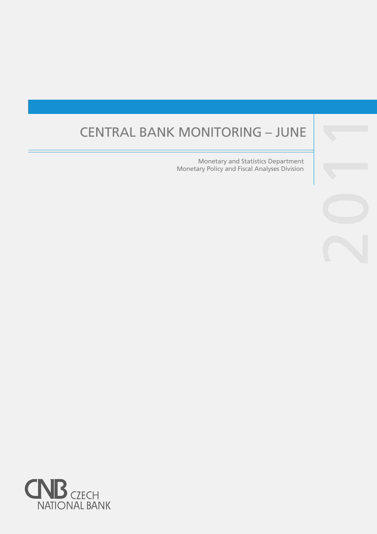# CENTRAL BANK MONITORING – JUNE

Monetary and Statistics Department Monetary Policy and Fiscal Analyses Division

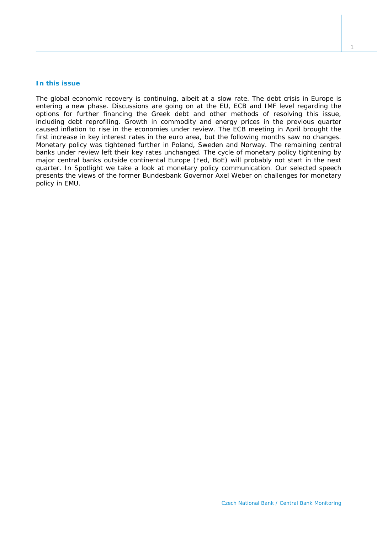#### **In this issue**

*The global economic recovery is continuing, albeit at a slow rate. The debt crisis in Europe is entering a new phase. Discussions are going on at the EU, ECB and IMF level regarding the options for further financing the Greek debt and other methods of resolving this issue,*  including debt reprofiling. Growth in commodity and energy prices in the previous quarter *caused inflation to rise in the economies under review. The ECB meeting in April brought the first increase in key interest rates in the euro area, but the following months saw no changes. Monetary policy was tightened further in Poland, Sweden and Norway. The remaining central banks under review left their key rates unchanged. The cycle of monetary policy tightening by major central banks outside continental Europe (Fed, BoE) will probably not start in the next quarter. In* Spotlight *we take a look at monetary policy communication. Our selected speech presents the views of the former Bundesbank Governor Axel Weber on challenges for monetary policy in EMU.*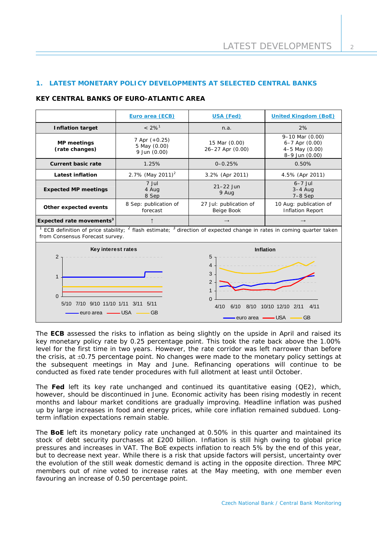# **1. LATEST MONETARY POLICY DEVELOPMENTS AT SELECTED CENTRAL BANKS**

#### **KEY CENTRAL BANKS OF EURO-ATLANTIC AREA**

|                                                                                                                                                               | Euro area (ECB)                                 | USA (Fed)                            | <b>United Kingdom (BoE)</b>                                                       |  |  |
|---------------------------------------------------------------------------------------------------------------------------------------------------------------|-------------------------------------------------|--------------------------------------|-----------------------------------------------------------------------------------|--|--|
| <b>Inflation target</b>                                                                                                                                       | $< 2\%$ <sup>1</sup>                            | n.a.                                 | 2%                                                                                |  |  |
| MP meetings<br>(rate changes)                                                                                                                                 | 7 Apr $(+0.25)$<br>5 May (0.00)<br>9 Jun (0.00) | 15 Mar (0.00)<br>26-27 Apr (0.00)    | $9-10$ Mar $(0.00)$<br>$6-7$ Apr $(0.00)$<br>$4-5$ May $(0.00)$<br>8-9 Jun (0.00) |  |  |
| <b>Current basic rate</b>                                                                                                                                     | 1.25%                                           | $0 - 0.25%$                          | 0.50%                                                                             |  |  |
| Latest inflation                                                                                                                                              | 2.7% (May 2011) <sup>2</sup>                    | 3.2% (Apr 2011)                      | 4.5% (Apr 2011)                                                                   |  |  |
| <b>Expected MP meetings</b>                                                                                                                                   | 7 Jul<br>4 Aug<br>8 Sep                         | $21-22$ Jun<br>9 Aug                 | $6-7$ Jul<br>$3-4$ Aug<br>$7-8$ Sep                                               |  |  |
| Other expected events                                                                                                                                         | 8 Sep: publication of<br>forecast               | 27 Jul: publication of<br>Beige Book | 10 Aug: publication of<br><b>Inflation Report</b>                                 |  |  |
| Expected rate movements <sup>3</sup>                                                                                                                          |                                                 | $\rightarrow$                        | $\rightarrow$                                                                     |  |  |
| ECB definition of price stability; $^2$ flash estimate; $^3$ direction of expected change in rates in coming quarter taken<br>from Consensus Forecast survey. |                                                 |                                      |                                                                                   |  |  |



The **ECB** assessed the risks to inflation as being slightly on the upside in April and raised its key monetary policy rate by 0.25 percentage point. This took the rate back above the 1.00% level for the first time in two years. However, the rate corridor was left narrower than before the crisis, at  $\pm 0.75$  percentage point. No changes were made to the monetary policy settings at the subsequent meetings in May and June. Refinancing operations will continue to be conducted as fixed rate tender procedures with full allotment at least until October.

The **Fed** left its key rate unchanged and continued its quantitative easing (QE2), which, however, should be discontinued in June. Economic activity has been rising modestly in recent months and labour market conditions are gradually improving. Headline inflation was pushed up by large increases in food and energy prices, while core inflation remained subdued. Longterm inflation expectations remain stable.

The **BoE** left its monetary policy rate unchanged at 0.50% in this quarter and maintained its stock of debt security purchases at £200 billion. Inflation is still high owing to global price pressures and increases in VAT. The BoE expects inflation to reach 5% by the end of this year, but to decrease next year. While there is a risk that upside factors will persist, uncertainty over the evolution of the still weak domestic demand is acting in the opposite direction. Three MPC members out of nine voted to increase rates at the May meeting, with one member even favouring an increase of 0.50 percentage point.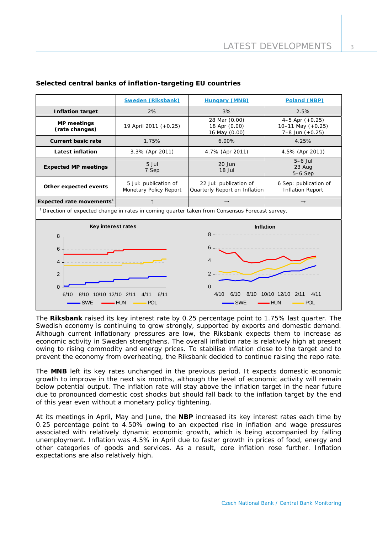|                                                                                                                                                                                                                                                                                                                              | <b>Sweden (Riksbank)</b>                        | <b>Hungary (MNB)</b>                                    | Poland (NBP)                                              |  |  |
|------------------------------------------------------------------------------------------------------------------------------------------------------------------------------------------------------------------------------------------------------------------------------------------------------------------------------|-------------------------------------------------|---------------------------------------------------------|-----------------------------------------------------------|--|--|
| <b>Inflation target</b>                                                                                                                                                                                                                                                                                                      | 2%                                              | 3%                                                      | 2.5%                                                      |  |  |
| <b>MP</b> meetings<br>19 April 2011 (+0.25)<br>(rate changes)                                                                                                                                                                                                                                                                |                                                 | 28 Mar (0.00)<br>18 Apr (0.00)<br>16 May (0.00)         | 4-5 Apr $(+0.25)$<br>10-11 May (+0.25)<br>7-8 Jun (+0.25) |  |  |
| Current basic rate                                                                                                                                                                                                                                                                                                           | 1.75%                                           | 6.00%                                                   | 4.25%                                                     |  |  |
| <b>Latest inflation</b>                                                                                                                                                                                                                                                                                                      | 3.3% (Apr 2011)                                 | 4.7% (Apr 2011)                                         | 4.5% (Apr 2011)                                           |  |  |
| <b>Expected MP meetings</b>                                                                                                                                                                                                                                                                                                  | 5 Jul<br>7 Sep                                  | $20$ Jun<br>18 Jul                                      | $5-6$ Jul<br>23 Aug<br>$5-6$ Sep                          |  |  |
| Other expected events                                                                                                                                                                                                                                                                                                        | 5 Jul: publication of<br>Monetary Policy Report | 22 Jul: publication of<br>Quarterly Report on Inflation | 6 Sep: publication of<br><b>Inflation Report</b>          |  |  |
| Expected rate movements <sup>1</sup><br>$\uparrow$                                                                                                                                                                                                                                                                           |                                                 | $\rightarrow$                                           | $\rightarrow$                                             |  |  |
| <sup>1</sup> Direction of expected change in rates in coming quarter taken from Consensus Forecast survey.                                                                                                                                                                                                                   |                                                 |                                                         |                                                           |  |  |
| Key interest rates<br><b>Inflation</b><br>8<br>8<br>6<br>6<br>$\overline{4}$<br>4<br>$\overline{2}$<br>2<br>$\overline{0}$<br>$\Omega$<br>8/10<br>2/11<br>4/11<br>4/10<br>6/10<br>10/10 12/10<br>10/10 12/10 2/11<br>6/11<br>6/10<br>4/11<br>8/10<br><b>SWE</b><br>– HUN<br><b>POL</b><br>$-SWE$<br><b>HUN</b><br><b>POL</b> |                                                 |                                                         |                                                           |  |  |

# **Selected central banks of inflation-targeting EU countries**

The **Riksbank** raised its key interest rate by 0.25 percentage point to 1.75% last quarter. The Swedish economy is continuing to grow strongly, supported by exports and domestic demand. Although current inflationary pressures are low, the Riksbank expects them to increase as economic activity in Sweden strengthens. The overall inflation rate is relatively high at present owing to rising commodity and energy prices. To stabilise inflation close to the target and to prevent the economy from overheating, the Riksbank decided to continue raising the repo rate.

The **MNB** left its key rates unchanged in the previous period. It expects domestic economic growth to improve in the next six months, although the level of economic activity will remain below potential output. The inflation rate will stay above the inflation target in the near future due to pronounced domestic cost shocks but should fall back to the inflation target by the end of this year even without a monetary policy tightening.

At its meetings in April, May and June, the **NBP** increased its key interest rates each time by 0.25 percentage point to 4.50% owing to an expected rise in inflation and wage pressures associated with relatively dynamic economic growth, which is being accompanied by falling unemployment. Inflation was 4.5% in April due to faster growth in prices of food, energy and other categories of goods and services. As a result, core inflation rose further. Inflation expectations are also relatively high.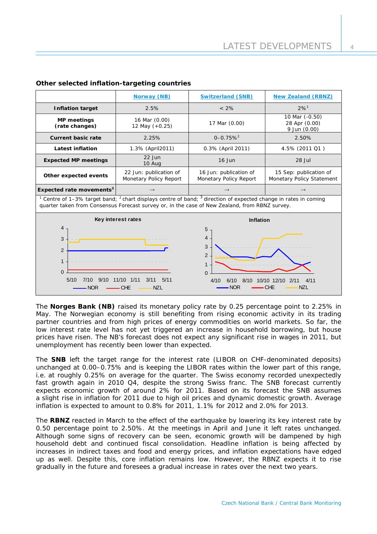|                                                                                                                                                                                                                                                                                                            | Norway (NB)                                      | <b>Switzerland (SNB)</b>                         | <b>New Zealand (RBNZ)</b>                           |  |  |
|------------------------------------------------------------------------------------------------------------------------------------------------------------------------------------------------------------------------------------------------------------------------------------------------------------|--------------------------------------------------|--------------------------------------------------|-----------------------------------------------------|--|--|
| <b>Inflation target</b>                                                                                                                                                                                                                                                                                    | 2.5%                                             | $< 2\%$                                          | $2%^{1}$                                            |  |  |
| <b>MP</b> meetings<br>(rate changes)                                                                                                                                                                                                                                                                       | 16 Mar (0.00)<br>12 May (+0.25)                  |                                                  | 10 Mar (-0.50)<br>28 Apr (0.00)<br>9 Jun (0.00)     |  |  |
| <b>Current basic rate</b>                                                                                                                                                                                                                                                                                  | 2.25%                                            | $0 - 0.75%$ <sup>2</sup>                         | 2.50%                                               |  |  |
| 1.3% (April2011)<br><b>Latest inflation</b>                                                                                                                                                                                                                                                                |                                                  | 0.3% (April 2011)                                | 4.5% (2011 Q1)                                      |  |  |
| <b>Expected MP meetings</b>                                                                                                                                                                                                                                                                                | $22$ Jun<br>$16$ Jun<br>10 Aug                   |                                                  | $28$ Jul                                            |  |  |
| Other expected events                                                                                                                                                                                                                                                                                      | 22 Jun: publication of<br>Monetary Policy Report | 16 Jun: publication of<br>Monetary Policy Report | 15 Sep: publication of<br>Monetary Policy Statement |  |  |
| Expected rate movements <sup>3</sup>                                                                                                                                                                                                                                                                       |                                                  |                                                  | $\rightarrow$                                       |  |  |
| <sup>1</sup> Centre of 1-3% target band; <sup>2</sup> chart displays centre of band; $3$ direction of expected change in rates in coming<br>quarter taken from Consensus Forecast survey or, in the case of New Zealand, from RBNZ survey.                                                                 |                                                  |                                                  |                                                     |  |  |
| Key interest rates                                                                                                                                                                                                                                                                                         |                                                  | <b>Inflation</b>                                 |                                                     |  |  |
| 4<br>5<br>4<br>3<br>3<br>$\overline{2}$<br>$\overline{2}$<br>$\mathbf 1$<br>$\mathbf 1$<br>$\Omega$<br>$\Omega$<br>11/10 1/11<br>3/11<br>5/10<br>9/10<br>5/11<br>7/10<br>10/10 12/10 2/11<br>4/10<br>6/10<br>8/10<br>4/11<br><b>NOR</b><br><b>CHE</b><br><b>NZL</b><br>$-$ CHE<br><b>NZL</b><br><b>NOR</b> |                                                  |                                                  |                                                     |  |  |

## **Other selected inflation-targeting countries**

The **Norges Bank (NB)** raised its monetary policy rate by 0.25 percentage point to 2.25% in May. The Norwegian economy is still benefiting from rising economic activity in its trading partner countries and from high prices of energy commodities on world markets. So far, the low interest rate level has not yet triggered an increase in household borrowing, but house prices have risen. The NB's forecast does not expect any significant rise in wages in 2011, but unemployment has recently been lower than expected.

The **SNB** left the target range for the interest rate (LIBOR on CHF-denominated deposits) unchanged at 0.00–0.75% and is keeping the LIBOR rates within the lower part of this range, i.e. at roughly 0.25% on average for the quarter. The Swiss economy recorded unexpectedly fast growth again in 2010 Q4, despite the strong Swiss franc. The SNB forecast currently expects economic growth of around 2% for 2011. Based on its forecast the SNB assumes a slight rise in inflation for 2011 due to high oil prices and dynamic domestic growth. Average inflation is expected to amount to 0.8% for 2011, 1.1% for 2012 and 2.0% for 2013.

The **RBNZ** reacted in March to the effect of the earthquake by lowering its key interest rate by 0.50 percentage point to 2.50%. At the meetings in April and June it left rates unchanged. Although some signs of recovery can be seen, economic growth will be dampened by high household debt and continued fiscal consolidation. Headline inflation is being affected by increases in indirect taxes and food and energy prices, and inflation expectations have edged up as well. Despite this, core inflation remains low. However, the RBNZ expects it to rise gradually in the future and foresees a gradual increase in rates over the next two years.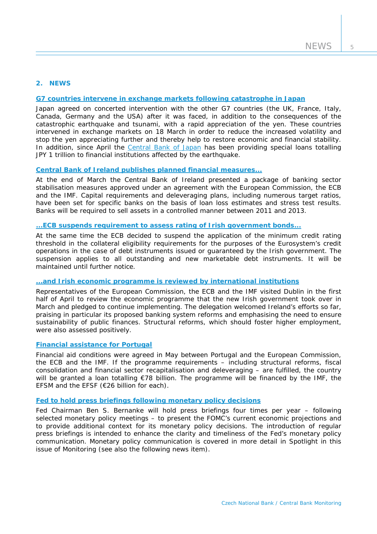## **2. NEWS**

## **[G7 countries intervene in exchange markets following catastrophe in Japan](http://www.ecb.europa.eu/press/pr/date/2011/html/pr110318.en.html)**

Japan agreed on concerted intervention with the other G7 countries (the UK, France, Italy, Canada, Germany and the USA) after it was faced, in addition to the consequences of the catastrophic earthquake and tsunami, with a rapid appreciation of the yen. These countries intervened in exchange markets on 18 March in order to reduce the increased volatility and stop the yen appreciating further and thereby help to restore economic and financial stability. In addition, since April the [Central Bank of Japan](http://www.boj.or.jp/en/announcements/release_2011/rel110428a.pdf) has been providing special loans totalling JPY 1 trillion to financial institutions affected by the earthquake.

# **[Central Bank of Ireland publishes planned financial measures...](http://www.financialregulator.ie/industry-sectors/credit-institutions/Documents/The%20Financial%20Measures%20Programme%20Report.pdf)**

At the end of March the Central Bank of Ireland presented a package of banking sector stabilisation measures approved under an agreement with the European Commission, the ECB and the IMF. Capital requirements and deleveraging plans, including numerous target ratios, have been set for specific banks on the basis of loan loss estimates and stress test results. Banks will be required to sell assets in a controlled manner between 2011 and 2013.

## **[...ECB suspends requirement to assess rating of Irish government bonds...](http://www.ecb.europa.eu/press/pr/date/2011/html/pr110331_2.en.html)**

At the same time the ECB decided to suspend the application of the minimum credit rating threshold in the collateral eligibility requirements for the purposes of the Eurosystem's credit operations in the case of debt instruments issued or guaranteed by the Irish government. The suspension applies to all outstanding and new marketable debt instruments. It will be maintained until further notice.

# **[...and Irish economic programme is reviewed by international institutions](http://www.ecb.europa.eu/press/pr/date/2011/html/pr110415.en.html)**

Representatives of the European Commission, the ECB and the IMF visited Dublin in the first half of April to review the economic programme that the new Irish government took over in March and pledged to continue implementing. The delegation welcomed Ireland's efforts so far, praising in particular its proposed banking system reforms and emphasising the need to ensure sustainability of public finances. Structural reforms, which should foster higher employment, were also assessed positively.

## **[Financial assistance for Portugal](http://ec.europa.eu/economy_finance/eu_borrower/portugal/index_en.htm)**

Financial aid conditions were agreed in May between Portugal and the European Commission, the ECB and the IMF. If the programme requirements – including structural reforms, fiscal consolidation and financial sector recapitalisation and deleveraging – are fulfilled, the country will be granted a loan totalling €78 billion. The programme will be financed by the IMF, the EFSM and the EFSF (€26 billion for each).

#### **[Fed to hold press briefings following monetary policy decisions](http://www.federalreserve.gov/newsevents/press/monetary/20110324a.htm)**

Fed Chairman Ben S. Bernanke will hold press briefings four times per year – following selected monetary policy meetings – to present the FOMC's current economic projections and to provide additional context for its monetary policy decisions. The introduction of regular press briefings is intended to enhance the clarity and timeliness of the Fed's monetary policy communication. Monetary policy communication is covered in more detail in *Spotlight* in this issue of *Monitoring* (see also the following news item).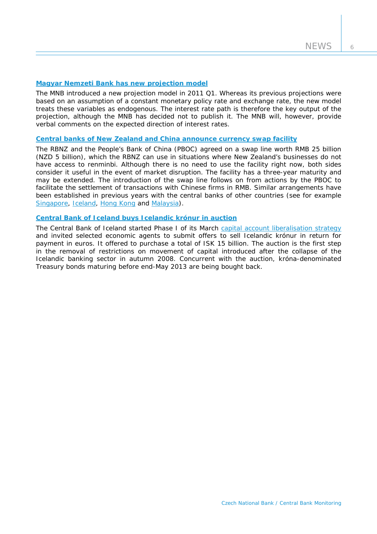6

## **[Magyar Nemzeti Bank has new projection model](http://english.mnb.hu/Root/ENMNB/Sajtoszoba/online/mnben_pressreleases/mnben_pressreleases_2011/mnben_kozlemeny_20110322)**

The MNB introduced a new projection model in 2011 Q1. Whereas its previous projections were based on an assumption of a constant monetary policy rate and exchange rate, the new model treats these variables as endogenous. The interest rate path is therefore the key output of the projection, although the MNB has decided not to publish it. The MNB will, however, provide verbal comments on the expected direction of interest rates.

#### **[Central banks of New Zealand and China announce currency swap facility](http://www.rbnz.govt.nz/news/2011/4372182.html)**

The RBNZ and the People's Bank of China (PBOC) agreed on a swap line worth RMB 25 billion (NZD 5 billion), which the RBNZ can use in situations where New Zealand's businesses do not have access to renminbi. Although there is no need to use the facility right now, both sides consider it useful in the event of market disruption. The facility has a three-year maturity and may be extended. The introduction of the swap line follows on from actions by the PBOC to facilitate the settlement of transactions with Chinese firms in RMB. Similar arrangements have been established in previous years with the central banks of other countries (see for example [Singapore](http://www.mas.gov.sg/news_room/press_releases/2010/MAS_and_PBC_bilateral_currency_swap.html), [Iceland](http://www.sedlabanki.is/?PageID=287&NewsID=2497), [Hong Kong](http://www.info.gov.hk/hkma/eng/press/index.htm) and [Malaysia](http://www.bnm.gov.my/index.php?ch=8&pg=14&ac=1763)).

# **[Central Bank of Iceland buys Icelandic krónur in auction](http://www.sedlabanki.is/?PageID=287&NewsID=2835)**

The Central Bank of Iceland started Phase I of its March [capital account liberalisation strategy](http://www.sedlabanki.is/lisalib/getfile.aspx?itemid=8673) and invited selected economic agents to submit offers to sell Icelandic krónur in return for payment in euros. It offered to purchase a total of ISK 15 billion. The auction is the first step in the removal of restrictions on movement of capital introduced after the collapse of the Icelandic banking sector in autumn 2008. Concurrent with the auction, króna-denominated Treasury bonds maturing before end-May 2013 are being bought back.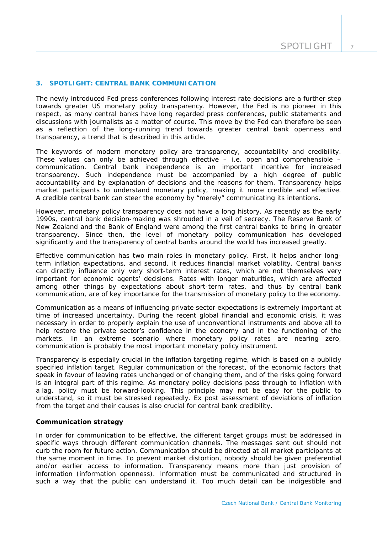## **3. SPOTLIGHT: CENTRAL BANK COMMUNICATION**

*The newly introduced Fed press conferences following interest rate decisions are a further step towards greater US monetary policy transparency. However, the Fed is no pioneer in this respect, as many central banks have long regarded press conferences, public statements and discussions with journalists as a matter of course. This move by the Fed can therefore be seen as a reflection of the long-running trend towards greater central bank openness and transparency, a trend that is described in this article.*

The keywords of modern monetary policy are transparency, accountability and credibility. These values can only be achieved through effective – i.e. open and comprehensible – communication. Central bank independence is an important incentive for increased transparency. Such independence must be accompanied by a high degree of public accountability and by explanation of decisions and the reasons for them. Transparency helps market participants to understand monetary policy, making it more credible and effective. A credible central bank can steer the economy by "merely" communicating its intentions.

However, monetary policy transparency does not have a long history. As recently as the early 1990s, central bank decision-making was shrouded in a veil of secrecy. The Reserve Bank of New Zealand and the Bank of England were among the first central banks to bring in greater transparency. Since then, the level of monetary policy communication has developed significantly and the transparency of central banks around the world has increased greatly.

Effective communication has two main roles in monetary policy. First, it helps anchor longterm inflation expectations, and second, it reduces financial market volatility. Central banks can directly influence only very short-term interest rates, which are not themselves very important for economic agents' decisions. Rates with longer maturities, which are affected among other things by expectations about short-term rates, and thus by central bank communication, are of key importance for the transmission of monetary policy to the economy.

Communication as a means of influencing private sector expectations is extremely important at time of increased uncertainty. During the recent global financial and economic crisis, it was necessary in order to properly explain the use of unconventional instruments and above all to help restore the private sector's confidence in the economy and in the functioning of the markets. In an extreme scenario where monetary policy rates are nearing zero, communication is probably the most important monetary policy instrument.

Transparency is especially crucial in the inflation targeting regime, which is based on a publicly specified inflation target. Regular communication of the forecast, of the economic factors that speak in favour of leaving rates unchanged or of changing them, and of the risks going forward is an integral part of this regime. As monetary policy decisions pass through to inflation with a lag, policy must be forward-looking. This principle may not be easy for the public to understand, so it must be stressed repeatedly. Ex post assessment of deviations of inflation from the target and their causes is also crucial for central bank credibility.

## **Communication strategy**

In order for communication to be effective, the different target groups must be addressed in specific ways through different communication channels. The messages sent out should not curb the room for future action. Communication should be directed at all market participants at the same moment in time. To prevent market distortion, nobody should be given preferential and/or earlier access to information. Transparency means more than just provision of information (information openness). Information must be communicated and structured in such a way that the public can understand it. Too much detail can be indigestible and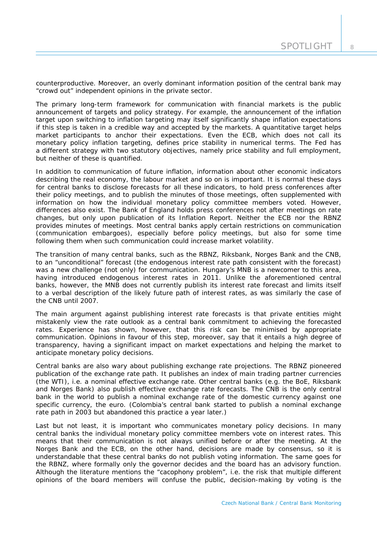counterproductive. Moreover, an overly dominant information position of the central bank may "crowd out" independent opinions in the private sector.

The primary long-term framework for communication with financial markets is the public announcement of targets and policy strategy. For example, the announcement of the inflation target upon switching to inflation targeting may itself significantly shape inflation expectations if this step is taken in a credible way and accepted by the markets. A quantitative target helps market participants to anchor their expectations. Even the ECB, which does not call its monetary policy inflation targeting, defines price stability in numerical terms. The Fed has a different strategy with two statutory objectives, namely price stability and full employment, but neither of these is quantified.

In addition to communication of future inflation, information about other economic indicators describing the real economy, the labour market and so on is important. It is normal these days for central banks to disclose forecasts for all these indicators, to hold press conferences after their policy meetings, and to publish the minutes of those meetings, often supplemented with information on how the individual monetary policy committee members voted. However, differences also exist. The Bank of England holds press conferences not after meetings on rate changes, but only upon publication of its Inflation Report. Neither the ECB nor the RBNZ provides minutes of meetings. Most central banks apply certain restrictions on communication (communication embargoes), especially before policy meetings, but also for some time following them when such communication could increase market volatility.

The transition of many central banks, such as the RBNZ, Riksbank, Norges Bank and the CNB, to an "unconditional" forecast (the endogenous interest rate path consistent with the forecast) was a new challenge (not only) for communication. Hungary's MNB is a newcomer to this area, having introduced endogenous interest rates in 2011. Unlike the aforementioned central banks, however, the MNB does not currently publish its interest rate forecast and limits itself to a verbal description of the likely future path of interest rates, as was similarly the case of the CNB until 2007.

The main argument against publishing interest rate forecasts is that private entities might mistakenly view the rate outlook as a central bank commitment to achieving the forecasted rates. Experience has shown, however, that this risk can be minimised by appropriate communication. Opinions in favour of this step, moreover, say that it entails a high degree of transparency, having a significant impact on market expectations and helping the market to anticipate monetary policy decisions.

Central banks are also wary about publishing exchange rate projections. The RBNZ pioneered publication of the exchange rate path. It publishes an index of main trading partner currencies (the WTI), i.e. a nominal effective exchange rate. Other central banks (e.g. the BoE, Riksbank and Norges Bank) also publish effective exchange rate forecasts. The CNB is the only central bank in the world to publish a nominal exchange rate of the domestic currency against one specific currency, the euro. (Colombia's central bank started to publish a nominal exchange rate path in 2003 but abandoned this practice a year later.)

Last but not least, it is important who communicates monetary policy decisions. In many central banks the individual monetary policy committee members vote on interest rates. This means that their communication is not always unified before or after the meeting. At the Norges Bank and the ECB, on the other hand, decisions are made by consensus, so it is understandable that these central banks do not publish voting information. The same goes for the RBNZ, where formally only the governor decides and the board has an advisory function. Although the literature mentions the "cacophony problem", i.e. the risk that multiple different opinions of the board members will confuse the public, decision-making by voting is the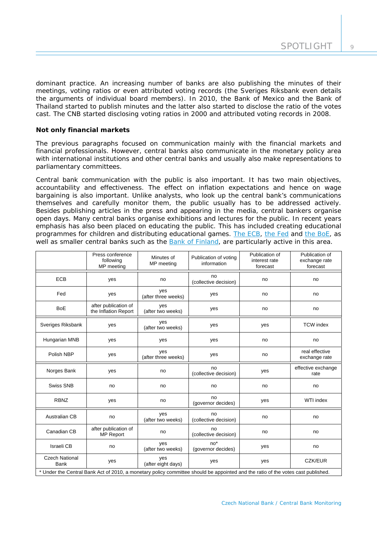dominant practice. An increasing number of banks are also publishing the minutes of their meetings, voting ratios or even attributed voting records (the Sveriges Riksbank even details the arguments of individual board members). In 2010, the Bank of Mexico and the Bank of Thailand started to publish minutes and the latter also started to disclose the ratio of the votes cast. The CNB started disclosing voting ratios in 2000 and attributed voting records in 2008.

# **Not only financial markets**

The previous paragraphs focused on communication mainly with the financial markets and financial professionals. However, central banks also communicate in the monetary policy area with international institutions and other central banks and usually also make representations to parliamentary committees.

Central bank communication with the public is also important. It has two main objectives, accountability and effectiveness. The effect on inflation expectations and hence on wage bargaining is also important. Unlike analysts, who look up the central bank's communications themselves and carefully monitor them, the public usually has to be addressed actively. Besides publishing articles in the press and appearing in the media, central bankers organise open days. Many central banks organise exhibitions and lectures for the public. In recent years emphasis has also been placed on educating the public. This has included creating educational programmes for children and distributing educational games. [The ECB,](http://www.ecb.int/ecb/educational/html/index.en.html) [the Fed](http://www.federalreserveeducation.org/) and [the BoE](http://www.bankofengland.co.uk/education/index.htm), as well as smaller central banks such as the [Bank of Finland,](http://www.rahamuseo.fi/en/multimediat_ja_oppimateriaalit_rahapolitiikkapeli.html) are particularly active in this area.

|                                                                                                                                  | Press conference<br>following<br>MP meeting  | Minutes of<br>MP meeting   | Publication of voting<br>information | Publication of<br>interest rate<br>forecast | Publication of<br>exchange rate<br>forecast |  |
|----------------------------------------------------------------------------------------------------------------------------------|----------------------------------------------|----------------------------|--------------------------------------|---------------------------------------------|---------------------------------------------|--|
| <b>ECB</b>                                                                                                                       | yes                                          | no                         | no<br>(collective decision)          | no                                          | no                                          |  |
| Fed                                                                                                                              | yes                                          | yes<br>(after three weeks) | yes                                  | no                                          | no                                          |  |
| <b>BoE</b>                                                                                                                       | after publication of<br>the Inflation Report | yes<br>(after two weeks)   | yes                                  | no                                          | no                                          |  |
| Sveriges Riksbank                                                                                                                | yes                                          | yes<br>(after two weeks)   | yes                                  | yes                                         | <b>TCW</b> index                            |  |
| Hungarian MNB                                                                                                                    | yes                                          | yes                        | yes                                  | no                                          | no                                          |  |
| Polish NBP                                                                                                                       | yes                                          | yes<br>(after three weeks) | yes                                  | no                                          | real effective<br>exchange rate             |  |
| Norges Bank                                                                                                                      | yes                                          | no                         | no<br>(collective decision)          | yes                                         | effective exchange<br>rate                  |  |
| <b>Swiss SNB</b>                                                                                                                 | no                                           | no                         | no                                   | no                                          | no                                          |  |
| <b>RBNZ</b>                                                                                                                      | yes                                          | no                         | no<br>(governor decides)             | yes                                         | WTI index                                   |  |
| Australian CB                                                                                                                    | no                                           | yes<br>(after two weeks)   | no<br>(collective decision)          | no                                          | no                                          |  |
| Canadian CB                                                                                                                      | after publication of<br><b>MP Report</b>     | no                         | no<br>(collective decision)          | no                                          | no                                          |  |
| Israeli CB                                                                                                                       | no                                           | yes<br>(after two weeks)   | $no*$<br>(governor decides)          | yes                                         | no                                          |  |
| <b>Czech National</b><br><b>Bank</b>                                                                                             | yes                                          | yes<br>(after eight days)  | yes                                  | yes                                         | CZK/EUR                                     |  |
| * Under the Central Bank Act of 2010, a monetary policy committee should be appointed and the ratio of the votes cast published. |                                              |                            |                                      |                                             |                                             |  |